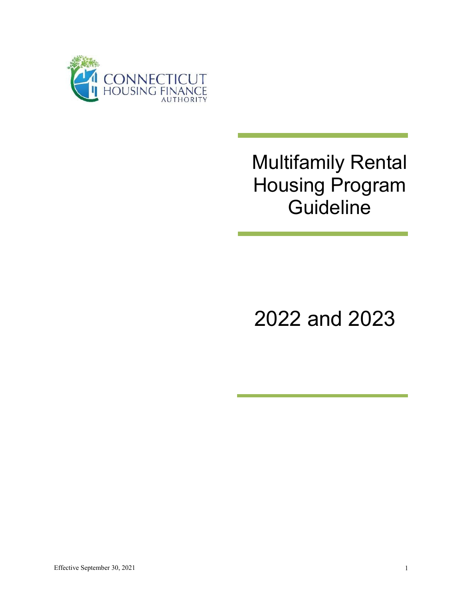

# Multifamily Rental Housing Program **Guideline**

2022 and 2023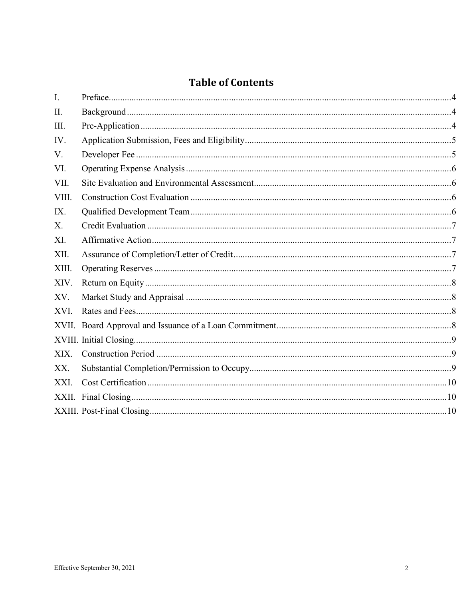# **Table of Contents**

| $\mathbf{I}$ . |  |
|----------------|--|
| II.            |  |
| Ш.             |  |
| IV.            |  |
| V.             |  |
| VI.            |  |
| VII.           |  |
| VIII.          |  |
| IX.            |  |
| $X_{\cdot}$    |  |
| XI.            |  |
| XII.           |  |
| XIII.          |  |
| XIV.           |  |
| XV.            |  |
| XVI.           |  |
| XVII.          |  |
|                |  |
| XIX.           |  |
| XX.            |  |
| XXI.           |  |
|                |  |
|                |  |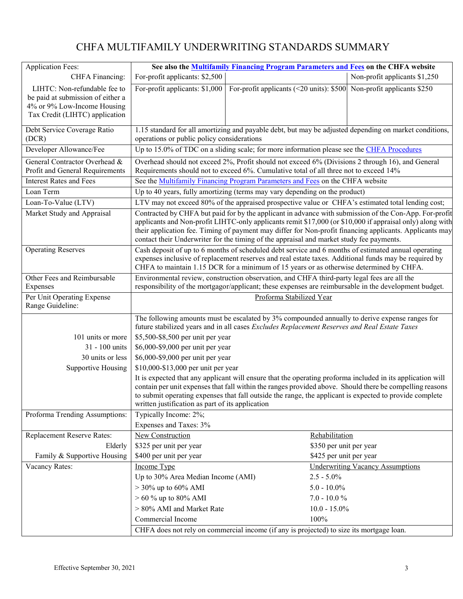# CHFA MULTIFAMILY UNDERWRITING STANDARDS SUMMARY

| <b>Application Fees:</b>                                                                                                                                                                                                                                                                                                                                                                                                                                 | See also the Multifamily Financing Program Parameters and Fees on the CHFA website                                                                                                                                                                                                                                                                                                    |                                                                       |                                         |  |
|----------------------------------------------------------------------------------------------------------------------------------------------------------------------------------------------------------------------------------------------------------------------------------------------------------------------------------------------------------------------------------------------------------------------------------------------------------|---------------------------------------------------------------------------------------------------------------------------------------------------------------------------------------------------------------------------------------------------------------------------------------------------------------------------------------------------------------------------------------|-----------------------------------------------------------------------|-----------------------------------------|--|
| CHFA Financing:                                                                                                                                                                                                                                                                                                                                                                                                                                          | For-profit applicants: \$2,500                                                                                                                                                                                                                                                                                                                                                        |                                                                       | Non-profit applicants \$1,250           |  |
| LIHTC: Non-refundable fee to<br>be paid at submission of either a<br>4% or 9% Low-Income Housing<br>Tax Credit (LIHTC) application                                                                                                                                                                                                                                                                                                                       | For-profit applicants: \$1,000                                                                                                                                                                                                                                                                                                                                                        | For-profit applicants (<20 units): $$500$ Non-profit applicants \$250 |                                         |  |
| Debt Service Coverage Ratio<br>(DCR)                                                                                                                                                                                                                                                                                                                                                                                                                     | 1.15 standard for all amortizing and payable debt, but may be adjusted depending on market conditions,<br>operations or public policy considerations                                                                                                                                                                                                                                  |                                                                       |                                         |  |
| Developer Allowance/Fee                                                                                                                                                                                                                                                                                                                                                                                                                                  | Up to 15.0% of TDC on a sliding scale; for more information please see the CHFA Procedures                                                                                                                                                                                                                                                                                            |                                                                       |                                         |  |
| General Contractor Overhead &<br>Profit and General Requirements                                                                                                                                                                                                                                                                                                                                                                                         | Overhead should not exceed 2%, Profit should not exceed 6% (Divisions 2 through 16), and General<br>Requirements should not to exceed 6%. Cumulative total of all three not to exceed 14%                                                                                                                                                                                             |                                                                       |                                         |  |
| <b>Interest Rates and Fees</b>                                                                                                                                                                                                                                                                                                                                                                                                                           | See the Multifamily Financing Program Parameters and Fees on the CHFA website                                                                                                                                                                                                                                                                                                         |                                                                       |                                         |  |
| Loan Term                                                                                                                                                                                                                                                                                                                                                                                                                                                | Up to 40 years, fully amortizing (terms may vary depending on the product)                                                                                                                                                                                                                                                                                                            |                                                                       |                                         |  |
| Loan-To-Value (LTV)                                                                                                                                                                                                                                                                                                                                                                                                                                      | LTV may not exceed 80% of the appraised prospective value or CHFA's estimated total lending cost;                                                                                                                                                                                                                                                                                     |                                                                       |                                         |  |
| Market Study and Appraisal<br>Contracted by CHFA but paid for by the applicant in advance with submission of the Con-App. For-profit<br>applicants and Non-profit LIHTC-only applicants remit \$17,000 (or \$10,000 if appraisal only) along with<br>their application fee. Timing of payment may differ for Non-profit financing applicants. Applicants may<br>contact their Underwriter for the timing of the appraisal and market study fee payments. |                                                                                                                                                                                                                                                                                                                                                                                       |                                                                       |                                         |  |
| <b>Operating Reserves</b>                                                                                                                                                                                                                                                                                                                                                                                                                                | Cash deposit of up to 6 months of scheduled debt service and 6 months of estimated annual operating<br>expenses inclusive of replacement reserves and real estate taxes. Additional funds may be required by<br>CHFA to maintain 1.15 DCR for a minimum of 15 years or as otherwise determined by CHFA.                                                                               |                                                                       |                                         |  |
| Other Fees and Reimbursable                                                                                                                                                                                                                                                                                                                                                                                                                              | Environmental review, construction observation, and CHFA third-party legal fees are all the                                                                                                                                                                                                                                                                                           |                                                                       |                                         |  |
| Expenses                                                                                                                                                                                                                                                                                                                                                                                                                                                 | responsibility of the mortgagor/applicant; these expenses are reimbursable in the development budget.                                                                                                                                                                                                                                                                                 |                                                                       |                                         |  |
| Per Unit Operating Expense<br>Range Guideline:                                                                                                                                                                                                                                                                                                                                                                                                           | Proforma Stabilized Year                                                                                                                                                                                                                                                                                                                                                              |                                                                       |                                         |  |
|                                                                                                                                                                                                                                                                                                                                                                                                                                                          | The following amounts must be escalated by 3% compounded annually to derive expense ranges for<br>future stabilized years and in all cases Excludes Replacement Reserves and Real Estate Taxes                                                                                                                                                                                        |                                                                       |                                         |  |
| 101 units or more                                                                                                                                                                                                                                                                                                                                                                                                                                        | \$5,500-\$8,500 per unit per year                                                                                                                                                                                                                                                                                                                                                     |                                                                       |                                         |  |
| 31 - 100 units                                                                                                                                                                                                                                                                                                                                                                                                                                           | \$6,000-\$9,000 per unit per year                                                                                                                                                                                                                                                                                                                                                     |                                                                       |                                         |  |
| 30 units or less                                                                                                                                                                                                                                                                                                                                                                                                                                         | \$6,000-\$9,000 per unit per year                                                                                                                                                                                                                                                                                                                                                     |                                                                       |                                         |  |
| Supportive Housing                                                                                                                                                                                                                                                                                                                                                                                                                                       | \$10,000-\$13,000 per unit per year                                                                                                                                                                                                                                                                                                                                                   |                                                                       |                                         |  |
|                                                                                                                                                                                                                                                                                                                                                                                                                                                          | It is expected that any applicant will ensure that the operating proforma included in its application will<br>contain per unit expenses that fall within the ranges provided above. Should there be compelling reasons<br>to submit operating expenses that fall outside the range, the applicant is expected to provide complete<br>written justification as part of its application |                                                                       |                                         |  |
| Proforma Trending Assumptions:                                                                                                                                                                                                                                                                                                                                                                                                                           | Typically Income: 2%;                                                                                                                                                                                                                                                                                                                                                                 |                                                                       |                                         |  |
|                                                                                                                                                                                                                                                                                                                                                                                                                                                          | Expenses and Taxes: 3%                                                                                                                                                                                                                                                                                                                                                                |                                                                       |                                         |  |
| Replacement Reserve Rates:                                                                                                                                                                                                                                                                                                                                                                                                                               | New Construction                                                                                                                                                                                                                                                                                                                                                                      | Rehabilitation                                                        |                                         |  |
| Elderly                                                                                                                                                                                                                                                                                                                                                                                                                                                  | \$325 per unit per year                                                                                                                                                                                                                                                                                                                                                               | \$350 per unit per year                                               |                                         |  |
| Family & Supportive Housing                                                                                                                                                                                                                                                                                                                                                                                                                              | \$400 per unit per year                                                                                                                                                                                                                                                                                                                                                               | \$425 per unit per year                                               |                                         |  |
| Vacancy Rates:                                                                                                                                                                                                                                                                                                                                                                                                                                           | Income Type                                                                                                                                                                                                                                                                                                                                                                           |                                                                       | <b>Underwriting Vacancy Assumptions</b> |  |
|                                                                                                                                                                                                                                                                                                                                                                                                                                                          | Up to 30% Area Median Income (AMI)                                                                                                                                                                                                                                                                                                                                                    | $2.5 - 5.0\%$                                                         |                                         |  |
|                                                                                                                                                                                                                                                                                                                                                                                                                                                          | $> 30\%$ up to 60% AMI                                                                                                                                                                                                                                                                                                                                                                | $5.0 - 10.0\%$                                                        |                                         |  |
|                                                                                                                                                                                                                                                                                                                                                                                                                                                          | $> 60 \%$ up to 80% AMI                                                                                                                                                                                                                                                                                                                                                               | $7.0 - 10.0 %$                                                        |                                         |  |
|                                                                                                                                                                                                                                                                                                                                                                                                                                                          | > 80% AMI and Market Rate                                                                                                                                                                                                                                                                                                                                                             | $10.0 - 15.0\%$                                                       |                                         |  |
|                                                                                                                                                                                                                                                                                                                                                                                                                                                          | Commercial Income                                                                                                                                                                                                                                                                                                                                                                     | 100%                                                                  |                                         |  |
|                                                                                                                                                                                                                                                                                                                                                                                                                                                          | CHFA does not rely on commercial income (if any is projected) to size its mortgage loan.                                                                                                                                                                                                                                                                                              |                                                                       |                                         |  |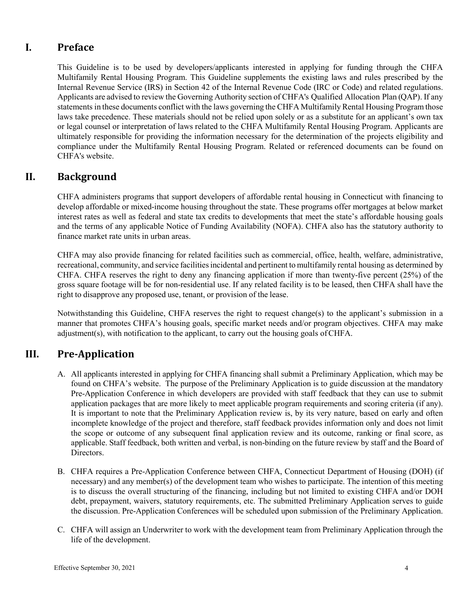# <span id="page-3-0"></span>**I. Preface**

This Guideline is to be used by developers/applicants interested in applying for funding through the CHFA Multifamily Rental Housing Program. This Guideline supplements the existing laws and rules prescribed by the Internal Revenue Service (IRS) in Section 42 of the Internal Revenue Code (IRC or Code) and related regulations. Applicants are advised to review the Governing Authority section of CHFA's Qualified Allocation Plan (QAP). If any statements in these documents conflict with the laws governing the CHFA Multifamily Rental Housing Program those laws take precedence. These materials should not be relied upon solely or as a substitute for an applicant's own tax or legal counsel or interpretation of laws related to the CHFA Multifamily Rental Housing Program. Applicants are ultimately responsible for providing the information necessary for the determination of the projects eligibility and compliance under the Multifamily Rental Housing Program. Related or referenced documents can be found on CHFA's website.

# <span id="page-3-1"></span>**II. Background**

CHFA administers programs that support developers of affordable rental housing in Connecticut with financing to develop affordable or mixed-income housing throughout the state. These programs offer mortgages at below market interest rates as well as federal and state tax credits to developments that meet the state's affordable housing goals and the terms of any applicable Notice of Funding Availability (NOFA). CHFA also has the statutory authority to finance market rate units in urban areas.

CHFA may also provide financing for related facilities such as commercial, office, health, welfare, administrative, recreational, community, and service facilitiesincidental and pertinent to multifamily rental housing as determined by CHFA. CHFA reserves the right to deny any financing application if more than twenty-five percent (25%) of the gross square footage will be for non-residential use. If any related facility is to be leased, then CHFA shall have the right to disapprove any proposed use, tenant, or provision of the lease.

Notwithstanding this Guideline, CHFA reserves the right to request change(s) to the applicant's submission in a manner that promotes CHFA's housing goals, specific market needs and/or program objectives. CHFA may make adjustment(s), with notification to the applicant, to carry out the housing goals ofCHFA.

#### <span id="page-3-2"></span>**III. Pre-Application**

- A. All applicants interested in applying for CHFA financing shall submit a Preliminary Application, which may be found on CHFA's website. The purpose of the Preliminary Application is to guide discussion at the mandatory Pre-Application Conference in which developers are provided with staff feedback that they can use to submit application packages that are more likely to meet applicable program requirements and scoring criteria (if any). It is important to note that the Preliminary Application review is, by its very nature, based on early and often incomplete knowledge of the project and therefore, staff feedback provides information only and does not limit the scope or outcome of any subsequent final application review and its outcome, ranking or final score, as applicable. Staff feedback, both written and verbal, is non-binding on the future review by staff and the Board of Directors.
- B. CHFA requires a Pre-Application Conference between CHFA, Connecticut Department of Housing (DOH) (if necessary) and any member(s) of the development team who wishes to participate. The intention of this meeting is to discuss the overall structuring of the financing, including but not limited to existing CHFA and/or DOH debt, prepayment, waivers, statutory requirements, etc. The submitted Preliminary Application serves to guide the discussion. Pre-Application Conferences will be scheduled upon submission of the Preliminary Application.
- C. CHFA will assign an Underwriter to work with the development team from Preliminary Application through the life of the development.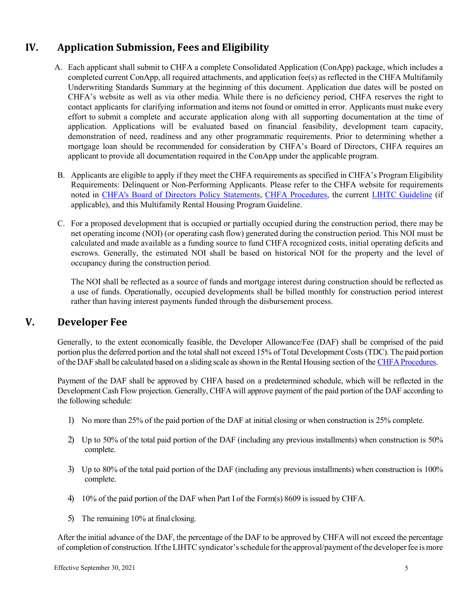# <span id="page-4-0"></span>**IV. Application Submission, Fees and Eligibility**

- A. Each applicant shall submit to CHFA a complete Consolidated Application (ConApp) package, which includes a completed current ConApp, all required attachments, and application fee(s) as reflected in the CHFA Multifamily Underwriting Standards Summary at the beginning of this document. Application due dates will be posted on CHFA's website as well as via other media. While there is no deficiency period, CHFA reserves the right to contact applicants for clarifying information and items not found or omitted in error. Applicants must make every effort to submit a complete and accurate application along with all supporting documentation at the time of application. Applications will be evaluated based on financial feasibility, development team capacity, demonstration of need, readiness and any other programmatic requirements. Prior to determining whether a mortgage loan should be recommended for consideration by CHFA's Board of Directors, CHFA requires an applicant to provide all documentation required in the ConApp under the applicable program.
- B. Applicants are eligible to apply if they meet the CHFA requirements as specified in CHFA's Program Eligibility Requirements: Delinquent or Non-Performing Applicants. Please refer to the CHFA website for requirements noted in [CHFA's Board of Directors Policy Statements, CHFA Procedures,](https://www.chfa.org/about-us/board-policy-statements-and-chfa-procedures/) the current [LIHTC Guideline](https://www.chfa.org/developers/tax-credit-program/lihtc/) (if applicable), and this Multifamily Rental Housing Program Guideline.
- C. For a proposed development that is occupied or partially occupied during the construction period, there may be net operating income (NOI) (or operating cash flow) generated during the construction period. This NOI must be calculated and made available as a funding source to fund CHFA recognized costs, initial operating deficits and escrows. Generally, the estimated NOI shall be based on historical NOI for the property and the level of occupancy during the construction period.

The NOI shall be reflected as a source of funds and mortgage interest during construction should be reflected as a use of funds. Operationally, occupied developments shall be billed monthly for construction period interest rather than having interest payments funded through the disbursement process.

#### <span id="page-4-1"></span>**V. Developer Fee**

Generally, to the extent economically feasible, the Developer Allowance/Fee (DAF) shall be comprised of the paid portion plus the deferred portion and the total shall not exceed 15% of Total Development Costs (TDC). The paid portion of the DAF shall be calculated based on a sliding scale as shown in the Rental Housing section of the CHFA [Procedures.](https://www.chfa.org/assets/1/6/CHFA_Procedures_(As_of_January_28,_2021).pdf)

Payment of the DAF shall be approved by CHFA based on a predetermined schedule, which will be reflected in the Development Cash Flow projection. Generally, CHFA will approve payment of the paid portion of the DAF according to the following schedule:

- 1) No more than 25% of the paid portion of the DAF at initial closing or when construction is 25% complete.
- 2) Up to 50% of the total paid portion of the DAF (including any previous installments) when construction is 50% complete.
- 3) Up to 80% of the total paid portion of the DAF (including any previous installments) when construction is 100% complete.
- 4) 10% of the paid portion of the DAF when Part I of the Form(s) 8609 is issued by CHFA.
- 5) The remaining 10% at final closing.

After the initial advance of the DAF, the percentage of the DAF to be approved by CHFA will not exceed the percentage of completion of construction. If the LIHTC syndicator's schedule for the approval/payment of the developer fee is more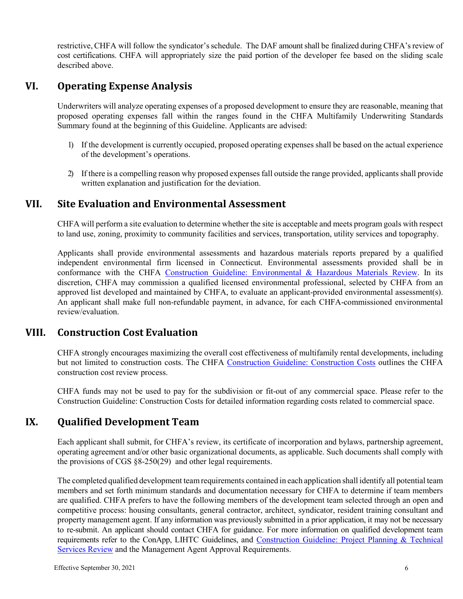restrictive, CHFA will follow the syndicator'sschedule. The DAF amount shall be finalized during CHFA's review of cost certifications. CHFA will appropriately size the paid portion of the developer fee based on the sliding scale described above.

#### <span id="page-5-0"></span>**VI. Operating Expense Analysis**

Underwriters will analyze operating expenses of a proposed development to ensure they are reasonable, meaning that proposed operating expenses fall within the ranges found in the CHFA Multifamily Underwriting Standards Summary found at the beginning of this Guideline. Applicants are advised:

- 1) If the development is currently occupied, proposed operating expenses shall be based on the actual experience of the development's operations.
- 2) If there is a compelling reason why proposed expenses fall outside the range provided, applicants shall provide written explanation and justification for the deviation.

#### <span id="page-5-1"></span>**VII. Site Evaluation and Environmental Assessment**

CHFA will perform a site evaluation to determine whether the site is acceptable and meets program goals with respect to land use, zoning, proximity to community facilities and services, transportation, utility services and topography.

Applicants shall provide environmental assessments and hazardous materials reports prepared by a qualified independent environmental firm licensed in Connecticut. Environmental assessments provided shall be in conformance with the CHFA [Construction Guideline: Environmental & Hazardous Materials Review.](https://www.chfa.org/developers/design-and-construction-criteria/) In its discretion, CHFA may commission a qualified licensed environmental professional, selected by CHFA from an approved list developed and maintained by CHFA, to evaluate an applicant-provided environmental assessment(s). An applicant shall make full non-refundable payment, in advance, for each CHFA-commissioned environmental review/evaluation.

#### <span id="page-5-2"></span>**VIII. Construction Cost Evaluation**

CHFA strongly encourages maximizing the overall cost effectiveness of multifamily rental developments, including but not limited to construction costs. The CHFA [Construction Guideline: Construction Costs](https://www.chfa.org/developers/design-and-construction-criteria/) outlines the CHFA construction cost review process.

CHFA funds may not be used to pay for the subdivision or fit-out of any commercial space. Please refer to the Construction Guideline: Construction Costs for detailed information regarding costs related to commercial space.

# <span id="page-5-3"></span>**IX. Qualified Development Team**

Each applicant shall submit, for CHFA's review, its certificate of incorporation and bylaws, partnership agreement, operating agreement and/or other basic organizational documents, as applicable. Such documents shall comply with the provisions of CGS §8-250(29) and other legal requirements.

The completed qualified development teamrequirements contained in each application shall identify all potential team members and set forth minimum standards and documentation necessary for CHFA to determine if team members are qualified. CHFA prefers to have the following members of the development team selected through an open and competitive process: housing consultants, general contractor, architect, syndicator, resident training consultant and property management agent. If any information was previously submitted in a prior application, it may not be necessary to re-submit. An applicant should contact CHFA for guidance. For more information on qualified development team requirements refer to the ConApp, LIHTC Guidelines, and [Construction Guideline: Project Planning & Technical](https://www.chfa.org/assets/1/6/2021ConstnGuidelines-ProjectPlanningTechReview.pdf?9877)  [Services Review](https://www.chfa.org/assets/1/6/2021ConstnGuidelines-ProjectPlanningTechReview.pdf?9877) and the Management Agent Approval Requirements.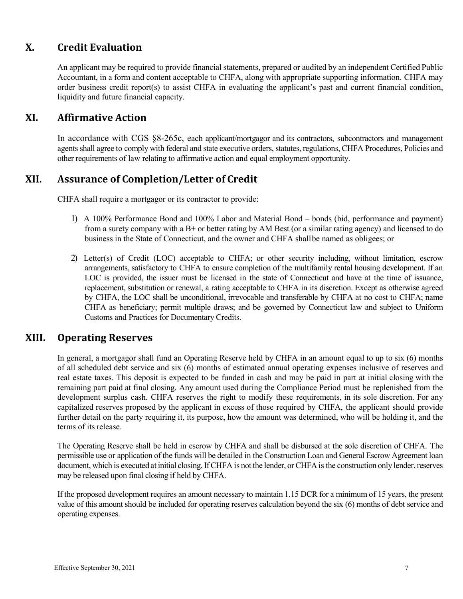# <span id="page-6-0"></span>**X. Credit Evaluation**

An applicant may be required to provide financial statements, prepared or audited by an independent Certified Public Accountant, in a form and content acceptable to CHFA, along with appropriate supporting information. CHFA may order business credit report(s) to assist CHFA in evaluating the applicant's past and current financial condition, liquidity and future financial capacity.

#### <span id="page-6-1"></span>**XI. Affirmative Action**

In accordance with CGS §8-265c, each applicant/mortgagor and its contractors, subcontractors and management agents shall agree to comply with federal and state executive orders, statutes, regulations, CHFA Procedures, Policies and other requirements of law relating to affirmative action and equal employment opportunity.

#### <span id="page-6-2"></span>**XII. Assurance of Completion/Letter of Credit**

CHFA shall require a mortgagor or its contractor to provide:

- 1) A 100% Performance Bond and 100% Labor and Material Bond bonds (bid, performance and payment) from a surety company with a B+ or better rating by AM Best (or a similar rating agency) and licensed to do business in the State of Connecticut, and the owner and CHFA shallbe named as obligees; or
- 2) Letter(s) of Credit (LOC) acceptable to CHFA; or other security including, without limitation, escrow arrangements, satisfactory to CHFA to ensure completion of the multifamily rental housing development. If an LOC is provided, the issuer must be licensed in the state of Connecticut and have at the time of issuance, replacement, substitution or renewal, a rating acceptable to CHFA in its discretion. Except as otherwise agreed by CHFA, the LOC shall be unconditional, irrevocable and transferable by CHFA at no cost to CHFA; name CHFA as beneficiary; permit multiple draws; and be governed by Connecticut law and subject to Uniform Customs and Practices for Documentary Credits.

#### <span id="page-6-3"></span>**XIII. Operating Reserves**

In general, a mortgagor shall fund an Operating Reserve held by CHFA in an amount equal to up to six (6) months of all scheduled debt service and six (6) months of estimated annual operating expenses inclusive of reserves and real estate taxes. This deposit is expected to be funded in cash and may be paid in part at initial closing with the remaining part paid at final closing. Any amount used during the Compliance Period must be replenished from the development surplus cash. CHFA reserves the right to modify these requirements, in its sole discretion. For any capitalized reserves proposed by the applicant in excess of those required by CHFA, the applicant should provide further detail on the party requiring it, its purpose, how the amount was determined, who will be holding it, and the terms of its release.

The Operating Reserve shall be held in escrow by CHFA and shall be disbursed at the sole discretion of CHFA. The permissible use or application of the funds will be detailed in the Construction Loan and General Escrow Agreement loan document, which is executed at initial closing. If CHFA is not the lender, or CHFA is the construction only lender, reserves may be released upon final closing if held by CHFA.

If the proposed development requires an amount necessary to maintain 1.15 DCR for a minimum of 15 years, the present value of this amount should be included for operating reserves calculation beyond the six (6) months of debt service and operating expenses.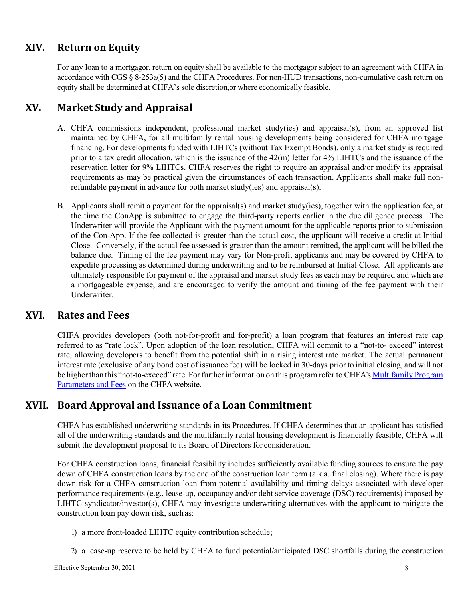# <span id="page-7-0"></span>**XIV. Return on Equity**

For any loan to a mortgagor, return on equity shall be available to the mortgagor subject to an agreement with CHFA in accordance with CGS § 8-253a(5) and the CHFA Procedures. For non-HUD transactions, non-cumulative cash return on equity shall be determined at CHFA's sole discretion,or where economically feasible.

# <span id="page-7-1"></span>**XV. Market Study and Appraisal**

- A. CHFA commissions independent, professional market study(ies) and appraisal(s), from an approved list maintained by CHFA, for all multifamily rental housing developments being considered for CHFA mortgage financing. For developments funded with LIHTCs (without Tax Exempt Bonds), only a market study is required prior to a tax credit allocation, which is the issuance of the 42(m) letter for 4% LIHTCs and the issuance of the reservation letter for 9% LIHTCs. CHFA reserves the right to require an appraisal and/or modify its appraisal requirements as may be practical given the circumstances of each transaction. Applicants shall make full nonrefundable payment in advance for both market study(ies) and appraisal(s).
- B. Applicants shall remit a payment for the appraisal(s) and market study(ies), together with the application fee, at the time the ConApp is submitted to engage the third-party reports earlier in the due diligence process. The Underwriter will provide the Applicant with the payment amount for the applicable reports prior to submission of the Con-App. If the fee collected is greater than the actual cost, the applicant will receive a credit at Initial Close. Conversely, if the actual fee assessed is greater than the amount remitted, the applicant will be billed the balance due. Timing of the fee payment may vary for Non-profit applicants and may be covered by CHFA to expedite processing as determined during underwriting and to be reimbursed at Initial Close. All applicants are ultimately responsible for payment of the appraisal and market study fees as each may be required and which are a mortgageable expense, and are encouraged to verify the amount and timing of the fee payment with their Underwriter.

#### <span id="page-7-2"></span>**XVI. Rates and Fees**

CHFA provides developers (both not-for-profit and for-profit) a loan program that features an interest rate cap referred to as "rate lock". Upon adoption of the loan resolution, CHFA will commit to a "not-to- exceed" interest rate, allowing developers to benefit from the potential shift in a rising interest rate market. The actual permanent interest rate (exclusive of any bond cost of issuance fee) will be locked in 30-days prior to initial closing, and will not be higher than this "not-to-exceed" rate. For further information on this program refer to CHFA's Multifamily Program [Parameters and Fees](https://www.chfa.org/assets/1/6/CHFA_MF_Program_Parameters_and_Fees.pdf?9481) on the CHFA website.

#### <span id="page-7-3"></span>**XVII. Board Approval and Issuance of a Loan Commitment**

CHFA has established underwriting standards in its Procedures. If CHFA determines that an applicant has satisfied all of the underwriting standards and the multifamily rental housing development is financially feasible, CHFA will submit the development proposal to its Board of Directors for consideration.

For CHFA construction loans, financial feasibility includes sufficiently available funding sources to ensure the pay down of CHFA construction loans by the end of the construction loan term (a.k.a. final closing). Where there is pay down risk for a CHFA construction loan from potential availability and timing delays associated with developer performance requirements (e.g., lease-up, occupancy and/or debt service coverage (DSC) requirements) imposed by LIHTC syndicator/investor(s), CHFA may investigate underwriting alternatives with the applicant to mitigate the construction loan pay down risk, such as:

- 1) a more front-loaded LIHTC equity contribution schedule;
- 2) a lease-up reserve to be held by CHFA to fund potential/anticipated DSC shortfalls during the construction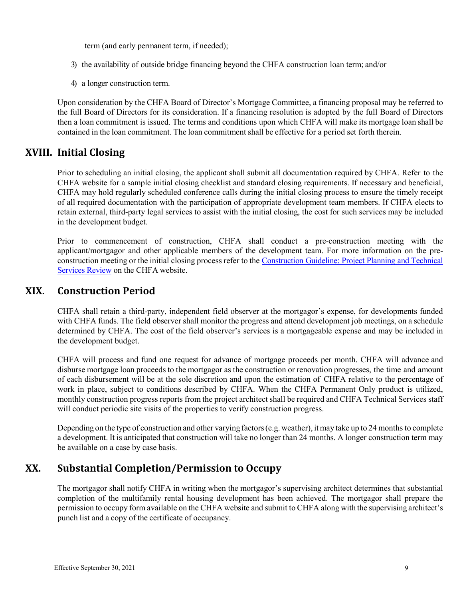term (and early permanent term, if needed);

- 3) the availability of outside bridge financing beyond the CHFA construction loan term; and/or
- 4) a longer construction term.

Upon consideration by the CHFA Board of Director's Mortgage Committee, a financing proposal may be referred to the full Board of Directors for its consideration. If a financing resolution is adopted by the full Board of Directors then a loan commitment is issued. The terms and conditions upon which CHFA will make its mortgage loan shall be contained in the loan commitment. The loan commitment shall be effective for a period set forth therein.

#### <span id="page-8-0"></span>**XVIII. Initial Closing**

Prior to scheduling an initial closing, the applicant shall submit all documentation required by CHFA. Refer to the CHFA website for a sample initial closing checklist and standard closing requirements. If necessary and beneficial, CHFA may hold regularly scheduled conference calls during the initial closing process to ensure the timely receipt of all required documentation with the participation of appropriate development team members. If CHFA elects to retain external, third-party legal services to assist with the initial closing, the cost for such services may be included in the development budget.

Prior to commencement of construction, CHFA shall conduct a pre-construction meeting with the applicant/mortgagor and other applicable members of the development team. For more information on the preconstruction meeting or the initial closing process refer to the [Construction Guideline: Project Planning and Technical](https://www.chfa.org/developers/design-and-construction-criteria/)  [Services Review](https://www.chfa.org/developers/design-and-construction-criteria/) on the CHFA website.

#### <span id="page-8-1"></span>**XIX. Construction Period**

CHFA shall retain a third-party, independent field observer at the mortgagor's expense, for developments funded with CHFA funds. The field observer shall monitor the progress and attend development job meetings, on a schedule determined by CHFA. The cost of the field observer's services is a mortgageable expense and may be included in the development budget.

CHFA will process and fund one request for advance of mortgage proceeds per month. CHFA will advance and disburse mortgage loan proceeds to the mortgagor as the construction or renovation progresses, the time and amount of each disbursement will be at the sole discretion and upon the estimation of CHFA relative to the percentage of work in place, subject to conditions described by CHFA. When the CHFA Permanent Only product is utilized, monthly construction progress reports from the project architect shall be required and CHFA Technical Services staff will conduct periodic site visits of the properties to verify construction progress.

Depending on the type of construction and other varying factors(e.g. weather), it may take up to 24 months to complete a development. It is anticipated that construction will take no longer than 24 months. A longer construction term may be available on a case by case basis.

#### <span id="page-8-2"></span>**XX. Substantial Completion/Permission to Occupy**

The mortgagor shall notify CHFA in writing when the mortgagor's supervising architect determines that substantial completion of the multifamily rental housing development has been achieved. The mortgagor shall prepare the permission to occupy form available on the CHFA website and submit to CHFA along with the supervising architect's punch list and a copy of the certificate of occupancy.